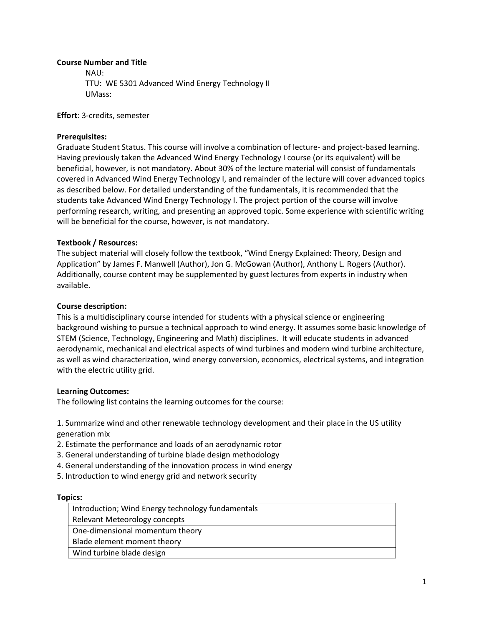### **Course Number and Title**

NAU: TTU: WE 5301 Advanced Wind Energy Technology II UMass:

**Effort**: 3-credits, semester

# **Prerequisites:**

Graduate Student Status. This course will involve a combination of lecture- and project-based learning. Having previously taken the Advanced Wind Energy Technology I course (or its equivalent) will be beneficial, however, is not mandatory. About 30% of the lecture material will consist of fundamentals covered in Advanced Wind Energy Technology I, and remainder of the lecture will cover advanced topics as described below. For detailed understanding of the fundamentals, it is recommended that the students take Advanced Wind Energy Technology I. The project portion of the course will involve performing research, writing, and presenting an approved topic. Some experience with scientific writing will be beneficial for the course, however, is not mandatory.

### **Textbook / Resources:**

The subject material will closely follow the textbook, "Wind Energy Explained: Theory, Design and Application" by James F. Manwell (Author), Jon G. McGowan (Author), Anthony L. Rogers (Author). Additionally, course content may be supplemented by guest lectures from experts in industry when available.

### **Course description:**

This is a multidisciplinary course intended for students with a physical science or engineering background wishing to pursue a technical approach to wind energy. It assumes some basic knowledge of STEM (Science, Technology, Engineering and Math) disciplines. It will educate students in advanced aerodynamic, mechanical and electrical aspects of wind turbines and modern wind turbine architecture, as well as wind characterization, wind energy conversion, economics, electrical systems, and integration with the electric utility grid.

#### **Learning Outcomes:**

The following list contains the learning outcomes for the course:

1. Summarize wind and other renewable technology development and their place in the US utility generation mix

- 2. Estimate the performance and loads of an aerodynamic rotor
- 3. General understanding of turbine blade design methodology
- 4. General understanding of the innovation process in wind energy
- 5. Introduction to wind energy grid and network security

#### **Topics:**

| Introduction; Wind Energy technology fundamentals |
|---------------------------------------------------|
| <b>Relevant Meteorology concepts</b>              |
| One-dimensional momentum theory                   |
| Blade element moment theory                       |
| Wind turbine blade design                         |